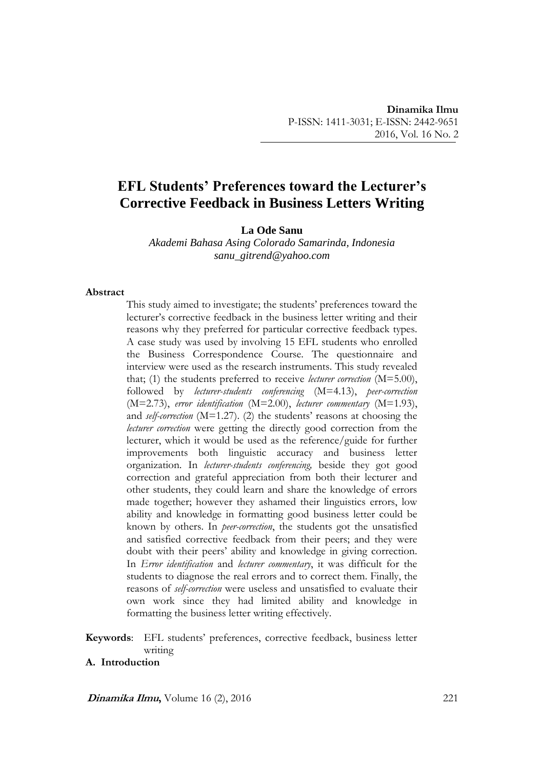# **EFL Students' Preferences toward the Lecturer's Corrective Feedback in Business Letters Writing**

**La Ode Sanu**

*Akademi Bahasa Asing Colorado Samarinda, Indonesia sanu\_gitrend@yahoo.com*

#### **Abstract**

This study aimed to investigate; the students' preferences toward the lecturer's corrective feedback in the business letter writing and their reasons why they preferred for particular corrective feedback types. A case study was used by involving 15 EFL students who enrolled the Business Correspondence Course. The questionnaire and interview were used as the research instruments. This study revealed that; (1) the students preferred to receive *lecturer correction* (M=5.00), followed by *lecturer-students conferencing* (M=4.13), *peer-correction* (M=2.73), *error identification* (M=2.00), *lecturer commentary* (M=1.93), and *self-correction* (M=1.27). (2) the students' reasons at choosing the *lecturer correction* were getting the directly good correction from the lecturer, which it would be used as the reference/guide for further improvements both linguistic accuracy and business letter organization. In *lecturer-students conferencing,* beside they got good correction and grateful appreciation from both their lecturer and other students, they could learn and share the knowledge of errors made together; however they ashamed their linguistics errors, low ability and knowledge in formatting good business letter could be known by others. In *peer-correction*, the students got the unsatisfied and satisfied corrective feedback from their peers; and they were doubt with their peers' ability and knowledge in giving correction. In *Error identification* and *lecturer commentary*, it was difficult for the students to diagnose the real errors and to correct them. Finally, the reasons of *self-correction* were useless and unsatisfied to evaluate their own work since they had limited ability and knowledge in formatting the business letter writing effectively.

# **Keywords**: EFL students' preferences, corrective feedback, business letter writing

# **A. Introduction**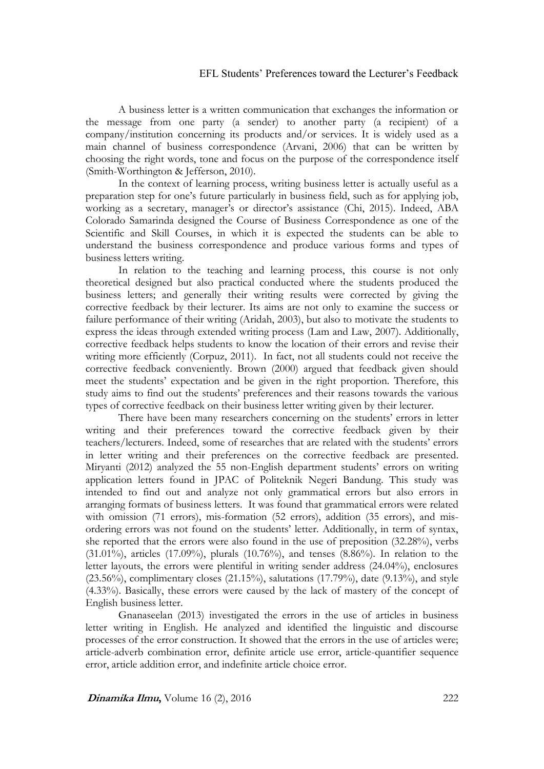A business letter is a written communication that exchanges the information or the message from one party (a sender) to another party (a recipient) of a company/institution concerning its products and/or services. It is widely used as a main channel of business correspondence (Arvani, 2006) that can be written by choosing the right words, tone and focus on the purpose of the correspondence itself (Smith-Worthington & Jefferson, 2010).

In the context of learning process, writing business letter is actually useful as a preparation step for one's future particularly in business field, such as for applying job, working as a secretary, manager's or director's assistance (Chi, 2015). Indeed, ABA Colorado Samarinda designed the Course of Business Correspondence as one of the Scientific and Skill Courses, in which it is expected the students can be able to understand the business correspondence and produce various forms and types of business letters writing.

In relation to the teaching and learning process, this course is not only theoretical designed but also practical conducted where the students produced the business letters; and generally their writing results were corrected by giving the corrective feedback by their lecturer. Its aims are not only to examine the success or failure performance of their writing (Aridah, 2003), but also to motivate the students to express the ideas through extended writing process (Lam and Law, 2007). Additionally, corrective feedback helps students to know the location of their errors and revise their writing more efficiently (Corpuz, 2011). In fact, not all students could not receive the corrective feedback conveniently. Brown (2000) argued that feedback given should meet the students' expectation and be given in the right proportion. Therefore, this study aims to find out the students' preferences and their reasons towards the various types of corrective feedback on their business letter writing given by their lecturer.

There have been many researchers concerning on the students' errors in letter writing and their preferences toward the corrective feedback given by their teachers/lecturers. Indeed, some of researches that are related with the students' errors in letter writing and their preferences on the corrective feedback are presented. Miryanti (2012) analyzed the 55 non-English department students' errors on writing application letters found in JPAC of Politeknik Negeri Bandung. This study was intended to find out and analyze not only grammatical errors but also errors in arranging formats of business letters. It was found that grammatical errors were related with omission (71 errors), mis-formation (52 errors), addition (35 errors), and misordering errors was not found on the students' letter. Additionally, in term of syntax, she reported that the errors were also found in the use of preposition (32.28%), verbs (31.01%), articles (17.09%), plurals (10.76%), and tenses (8.86%). In relation to the letter layouts, the errors were plentiful in writing sender address (24.04%), enclosures (23.56%), complimentary closes (21.15%), salutations (17.79%), date (9.13%), and style (4.33%). Basically, these errors were caused by the lack of mastery of the concept of English business letter.

Gnanaseelan (2013) investigated the errors in the use of articles in business letter writing in English. He analyzed and identified the linguistic and discourse processes of the error construction. It showed that the errors in the use of articles were; article-adverb combination error, definite article use error, article-quantifier sequence error, article addition error, and indefinite article choice error.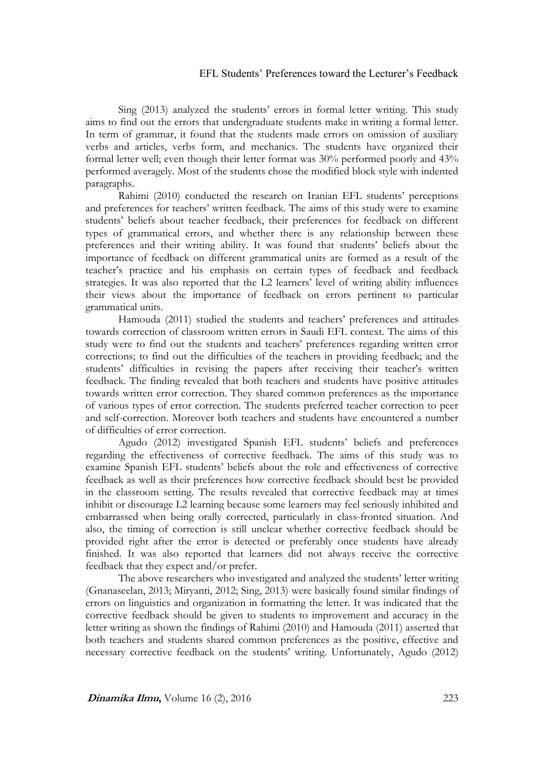Sing (2013) analyzed the students' errors in formal letter writing. This study aims to find out the errors that undergraduate students make in writing a formal letter. In term of grammar, it found that the students made errors on omission of auxiliary verbs and articles, verbs form, and mechanics. The students have organized their formal letter well; even though their letter format was 30% performed poorly and 43% performed averagely. Most of the students chose the modified block style with indented paragraphs.

Rahimi (2010) conducted the research on Iranian EFL students' perceptions and preferences for teachers' written feedback. The aims of this study were to examine students' beliefs about teacher feedback, their preferences for feedback on different types of grammatical errors, and whether there is any relationship between these preferences and their writing ability. It was found that students' beliefs about the importance of feedback on different grammatical units are formed as a result of the teacher's practice and his emphasis on certain types of feedback and feedback strategies. It was also reported that the L2 learners' level of writing ability influences their views about the importance of feedback on errors pertinent to particular grammatical units.

Hamouda (2011) studied the students and teachers' preferences and attitudes towards correction of classroom written errors in Saudi EFL context. The aims of this study were to find out the students and teachers' preferences regarding written error corrections; to find out the difficulties of the teachers in providing feedback; and the students' difficulties in revising the papers after receiving their teacher's written feedback. The finding revealed that both teachers and students have positive attitudes towards written error correction. They shared common preferences as the importance of various types of error correction. The students preferred teacher correction to peer and self-correction. Moreover both teachers and students have encountered a number of difficulties of error correction.

Agudo (2012) investigated Spanish EFL students' beliefs and preferences regarding the effectiveness of corrective feedback. The aims of this study was to examine Spanish EFL students' beliefs about the role and effectiveness of corrective feedback as well as their preferences how corrective feedback should best be provided in the classroom setting. The results revealed that corrective feedback may at times inhibit or discourage L2 learning because some learners may feel seriously inhibited and embarrassed when being orally corrected, particularly in class-fronted situation. And also, the timing of correction is still unclear whether corrective feedback should be provided right after the error is detected or preferably once students have already finished. It was also reported that learners did not always receive the corrective feedback that they expect and/or prefer.

The above researchers who investigated and analyzed the students' letter writing (Gnanaseelan, 2013; Miryanti, 2012; Sing, 2013) were basically found similar findings of errors on linguistics and organization in formatting the letter. It was indicated that the corrective feedback should be given to students to improvement and accuracy in the letter writing as shown the findings of Rahimi (2010) and Hamouda (2011) asserted that both teachers and students shared common preferences as the positive, effective and necessary corrective feedback on the students' writing. Unfortunately, Agudo (2012)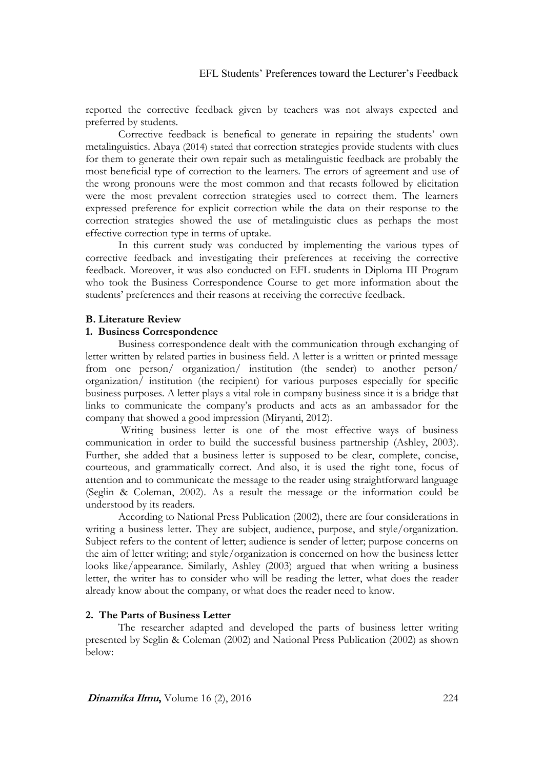reported the corrective feedback given by teachers was not always expected and preferred by students.

Corrective feedback is benefical to generate in repairing the students' own metalinguistics. Abaya (2014) stated that correction strategies provide students with clues for them to generate their own repair such as metalinguistic feedback are probably the most beneficial type of correction to the learners. The errors of agreement and use of the wrong pronouns were the most common and that recasts followed by elicitation were the most prevalent correction strategies used to correct them. The learners expressed preference for explicit correction while the data on their response to the correction strategies showed the use of metalinguistic clues as perhaps the most effective correction type in terms of uptake.

In this current study was conducted by implementing the various types of corrective feedback and investigating their preferences at receiving the corrective feedback. Moreover, it was also conducted on EFL students in Diploma III Program who took the Business Correspondence Course to get more information about the students' preferences and their reasons at receiving the corrective feedback.

### **B. Literature Review**

#### **1. Business Correspondence**

Business correspondence dealt with the communication through exchanging of letter written by related parties in business field. A letter is a written or printed message from one person/ organization/ institution (the sender) to another person/ organization/ institution (the recipient) for various purposes especially for specific business purposes. A letter plays a vital role in company business since it is a bridge that links to communicate the company's products and acts as an ambassador for the company that showed a good impression (Miryanti, 2012).

Writing business letter is one of the most effective ways of business communication in order to build the successful business partnership (Ashley, 2003). Further, she added that a business letter is supposed to be clear, complete, concise, courteous, and grammatically correct. And also, it is used the right tone, focus of attention and to communicate the message to the reader using straightforward language (Seglin & Coleman, 2002). As a result the message or the information could be understood by its readers.

According to National Press Publication (2002), there are four considerations in writing a business letter. They are subject, audience, purpose, and style/organization. Subject refers to the content of letter; audience is sender of letter; purpose concerns on the aim of letter writing; and style/organization is concerned on how the business letter looks like/appearance. Similarly, Ashley (2003) argued that when writing a business letter, the writer has to consider who will be reading the letter, what does the reader already know about the company, or what does the reader need to know.

### **2. The Parts of Business Letter**

The researcher adapted and developed the parts of business letter writing presented by Seglin & Coleman (2002) and National Press Publication (2002) as shown below: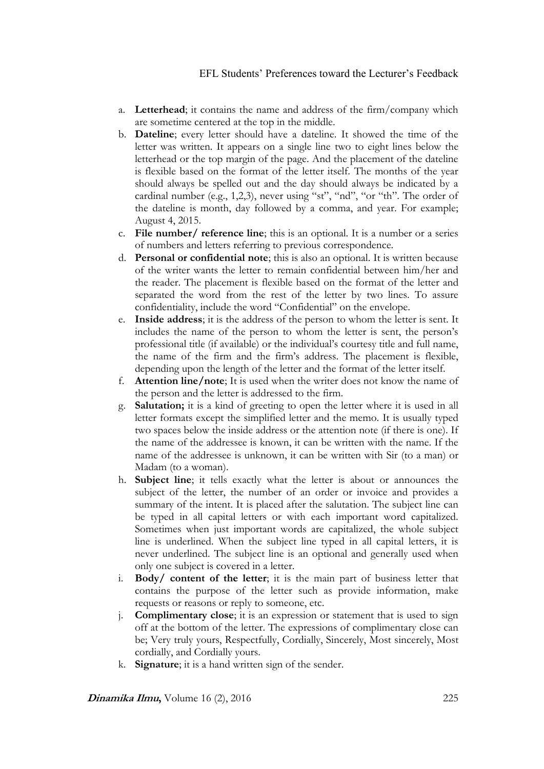- a. **Letterhead**; it contains the name and address of the firm/company which are sometime centered at the top in the middle.
- b. **Dateline**; every letter should have a dateline. It showed the time of the letter was written. It appears on a single line two to eight lines below the letterhead or the top margin of the page. And the placement of the dateline is flexible based on the format of the letter itself. The months of the year should always be spelled out and the day should always be indicated by a cardinal number (e.g., 1,2,3), never using "st", "nd", "or "th". The order of the dateline is month, day followed by a comma, and year. For example; August 4, 2015.
- c. **File number/ reference line**; this is an optional. It is a number or a series of numbers and letters referring to previous correspondence.
- d. **Personal or confidential note**; this is also an optional. It is written because of the writer wants the letter to remain confidential between him/her and the reader. The placement is flexible based on the format of the letter and separated the word from the rest of the letter by two lines. To assure confidentiality, include the word "Confidential" on the envelope.
- e. **Inside address**; it is the address of the person to whom the letter is sent. It includes the name of the person to whom the letter is sent, the person's professional title (if available) or the individual's courtesy title and full name, the name of the firm and the firm's address. The placement is flexible, depending upon the length of the letter and the format of the letter itself.
- f. **Attention line/note**; It is used when the writer does not know the name of the person and the letter is addressed to the firm.
- g. **Salutation;** it is a kind of greeting to open the letter where it is used in all letter formats except the simplified letter and the memo. It is usually typed two spaces below the inside address or the attention note (if there is one). If the name of the addressee is known, it can be written with the name. If the name of the addressee is unknown, it can be written with Sir (to a man) or Madam (to a woman).
- h. **Subject line**; it tells exactly what the letter is about or announces the subject of the letter, the number of an order or invoice and provides a summary of the intent. It is placed after the salutation. The subject line can be typed in all capital letters or with each important word capitalized. Sometimes when just important words are capitalized, the whole subject line is underlined. When the subject line typed in all capital letters, it is never underlined. The subject line is an optional and generally used when only one subject is covered in a letter.
- i. **Body/ content of the letter**; it is the main part of business letter that contains the purpose of the letter such as provide information, make requests or reasons or reply to someone, etc.
- j. **Complimentary close**; it is an expression or statement that is used to sign off at the bottom of the letter. The expressions of complimentary close can be; Very truly yours, Respectfully, Cordially, Sincerely, Most sincerely, Most cordially, and Cordially yours.
- k. **Signature**; it is a hand written sign of the sender.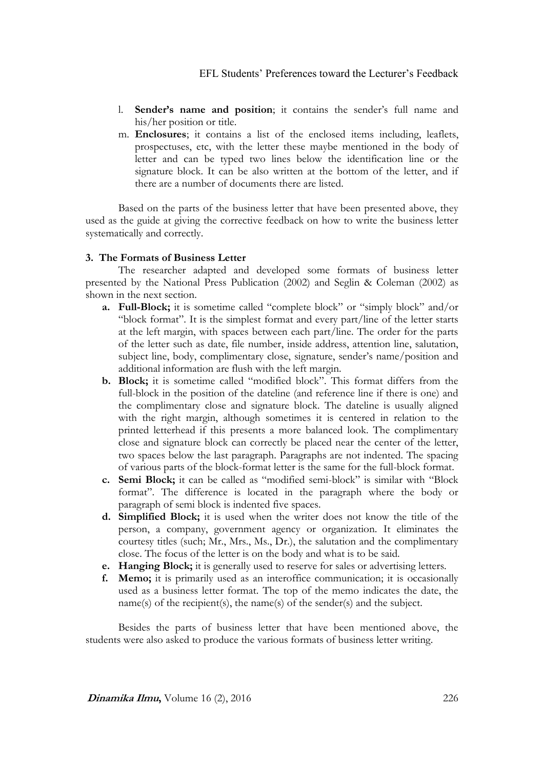- l. **Sender's name and position**; it contains the sender's full name and his/her position or title.
- m. **Enclosures**; it contains a list of the enclosed items including, leaflets, prospectuses, etc, with the letter these maybe mentioned in the body of letter and can be typed two lines below the identification line or the signature block. It can be also written at the bottom of the letter, and if there are a number of documents there are listed.

Based on the parts of the business letter that have been presented above, they used as the guide at giving the corrective feedback on how to write the business letter systematically and correctly.

# **3. The Formats of Business Letter**

The researcher adapted and developed some formats of business letter presented by the National Press Publication (2002) and Seglin & Coleman (2002) as shown in the next section.

- **a. Full-Block;** it is sometime called "complete block" or "simply block" and/or "block format". It is the simplest format and every part/line of the letter starts at the left margin, with spaces between each part/line. The order for the parts of the letter such as date, file number, inside address, attention line, salutation, subject line, body, complimentary close, signature, sender's name/position and additional information are flush with the left margin.
- **b. Block;** it is sometime called "modified block". This format differs from the full-block in the position of the dateline (and reference line if there is one) and the complimentary close and signature block. The dateline is usually aligned with the right margin, although sometimes it is centered in relation to the printed letterhead if this presents a more balanced look. The complimentary close and signature block can correctly be placed near the center of the letter, two spaces below the last paragraph. Paragraphs are not indented. The spacing of various parts of the block-format letter is the same for the full-block format.
- **c. Semi Block;** it can be called as "modified semi-block" is similar with "Block format". The difference is located in the paragraph where the body or paragraph of semi block is indented five spaces.
- **d. Simplified Block;** it is used when the writer does not know the title of the person, a company, government agency or organization. It eliminates the courtesy titles (such; Mr., Mrs., Ms., Dr.), the salutation and the complimentary close. The focus of the letter is on the body and what is to be said.
- **e. Hanging Block;** it is generally used to reserve for sales or advertising letters.
- **f. Memo;** it is primarily used as an interoffice communication; it is occasionally used as a business letter format. The top of the memo indicates the date, the name(s) of the recipient(s), the name(s) of the sender(s) and the subject.

Besides the parts of business letter that have been mentioned above, the students were also asked to produce the various formats of business letter writing.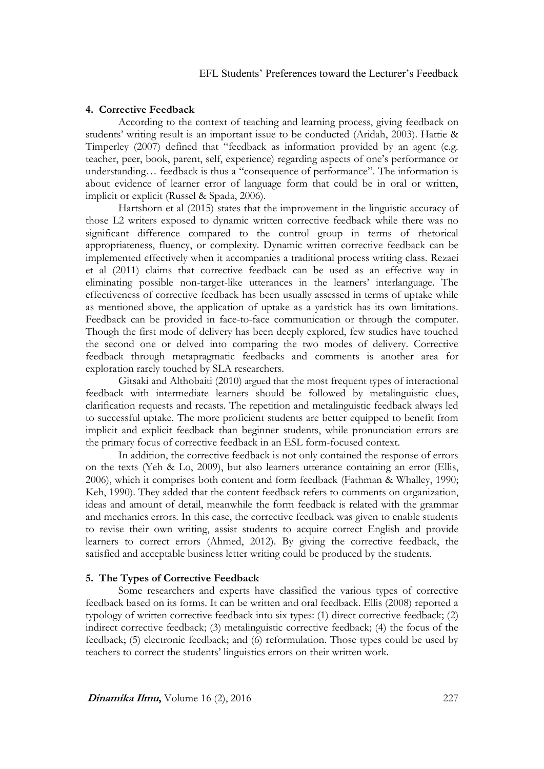### **4. Corrective Feedback**

According to the context of teaching and learning process, giving feedback on students' writing result is an important issue to be conducted (Aridah, 2003). Hattie & Timperley (2007) defined that "feedback as information provided by an agent (e.g. teacher, peer, book, parent, self, experience) regarding aspects of one's performance or understanding… feedback is thus a "consequence of performance". The information is about evidence of learner error of language form that could be in oral or written, implicit or explicit (Russel & Spada, 2006).

Hartshorn et al (2015) states that the improvement in the linguistic accuracy of those L2 writers exposed to dynamic written corrective feedback while there was no significant difference compared to the control group in terms of rhetorical appropriateness, fluency, or complexity. Dynamic written corrective feedback can be implemented effectively when it accompanies a traditional process writing class. Rezaei et al (2011) claims that corrective feedback can be used as an effective way in eliminating possible non-target-like utterances in the learners' interlanguage. The effectiveness of corrective feedback has been usually assessed in terms of uptake while as mentioned above, the application of uptake as a yardstick has its own limitations. Feedback can be provided in face-to-face communication or through the computer. Though the first mode of delivery has been deeply explored, few studies have touched the second one or delved into comparing the two modes of delivery. Corrective feedback through metapragmatic feedbacks and comments is another area for exploration rarely touched by SLA researchers.

Gitsaki and Althobaiti (2010) argued that the most frequent types of interactional feedback with intermediate learners should be followed by metalinguistic clues, clarification requests and recasts. The repetition and metalinguistic feedback always led to successful uptake. The more proficient students are better equipped to benefit from implicit and explicit feedback than beginner students, while pronunciation errors are the primary focus of corrective feedback in an ESL form-focused context.

In addition, the corrective feedback is not only contained the response of errors on the texts (Yeh & Lo, 2009), but also learners utterance containing an error (Ellis, 2006), which it comprises both content and form feedback (Fathman & Whalley, 1990; Keh, 1990). They added that the content feedback refers to comments on organization, ideas and amount of detail, meanwhile the form feedback is related with the grammar and mechanics errors. In this case, the corrective feedback was given to enable students to revise their own writing, assist students to acquire correct English and provide learners to correct errors (Ahmed, 2012). By giving the corrective feedback, the satisfied and acceptable business letter writing could be produced by the students.

### **5. The Types of Corrective Feedback**

Some researchers and experts have classified the various types of corrective feedback based on its forms. It can be written and oral feedback. Ellis (2008) reported a typology of written corrective feedback into six types: (1) direct corrective feedback; (2) indirect corrective feedback; (3) metalinguistic corrective feedback; (4) the focus of the feedback; (5) electronic feedback; and (6) reformulation. Those types could be used by teachers to correct the students' linguistics errors on their written work.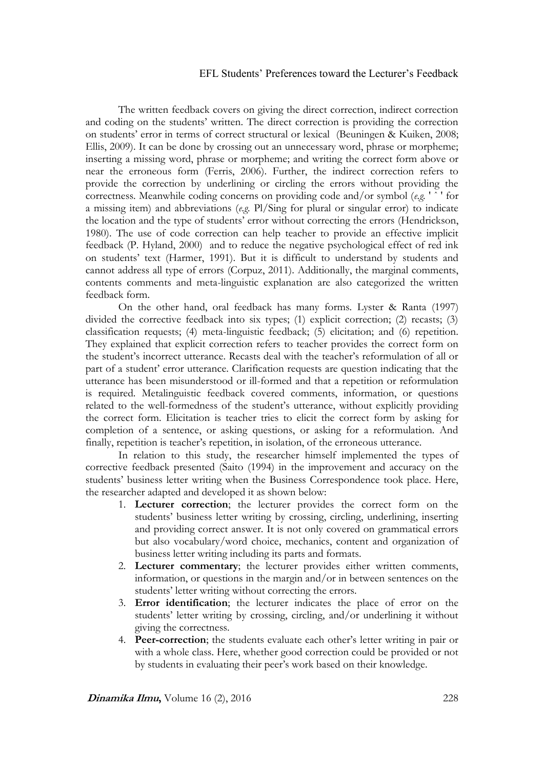The written feedback covers on giving the direct correction, indirect correction and coding on the students' written. The direct correction is providing the correction on students' error in terms of correct structural or lexical (Beuningen & Kuiken, 2008; Ellis, 2009). It can be done by crossing out an unnecessary word, phrase or morpheme; inserting a missing word, phrase or morpheme; and writing the correct form above or near the erroneous form (Ferris, 2006). Further, the indirect correction refers to provide the correction by underlining or circling the errors without providing the correctness. Meanwhile coding concerns on providing code and/or symbol (*e.g.* ' ˆ ' for a missing item) and abbreviations (*e.g.* Pl/Sing for plural or singular error) to indicate the location and the type of students' error without correcting the errors (Hendrickson, 1980). The use of code correction can help teacher to provide an effective implicit feedback (P. Hyland, 2000) and to reduce the negative psychological effect of red ink on students' text (Harmer, 1991). But it is difficult to understand by students and cannot address all type of errors (Corpuz, 2011). Additionally, the marginal comments, contents comments and meta-linguistic explanation are also categorized the written feedback form.

On the other hand, oral feedback has many forms. Lyster & Ranta (1997) divided the corrective feedback into six types; (1) explicit correction; (2) recasts; (3) classification requests; (4) meta-linguistic feedback; (5) elicitation; and (6) repetition. They explained that explicit correction refers to teacher provides the correct form on the student's incorrect utterance. Recasts deal with the teacher's reformulation of all or part of a student' error utterance. Clarification requests are question indicating that the utterance has been misunderstood or ill-formed and that a repetition or reformulation is required. Metalinguistic feedback covered comments, information, or questions related to the well-formedness of the student's utterance, without explicitly providing the correct form. Elicitation is teacher tries to elicit the correct form by asking for completion of a sentence, or asking questions, or asking for a reformulation. And finally, repetition is teacher's repetition, in isolation, of the erroneous utterance.

In relation to this study, the researcher himself implemented the types of corrective feedback presented (Saito (1994) in the improvement and accuracy on the students' business letter writing when the Business Correspondence took place. Here, the researcher adapted and developed it as shown below:

- 1. **Lecturer correction**; the lecturer provides the correct form on the students' business letter writing by crossing, circling, underlining, inserting and providing correct answer. It is not only covered on grammatical errors but also vocabulary/word choice, mechanics, content and organization of business letter writing including its parts and formats.
- 2. **Lecturer commentary**; the lecturer provides either written comments, information, or questions in the margin and/or in between sentences on the students' letter writing without correcting the errors.
- 3. **Error identification**; the lecturer indicates the place of error on the students' letter writing by crossing, circling, and/or underlining it without giving the correctness.
- 4. **Peer-correction**; the students evaluate each other's letter writing in pair or with a whole class. Here, whether good correction could be provided or not by students in evaluating their peer's work based on their knowledge.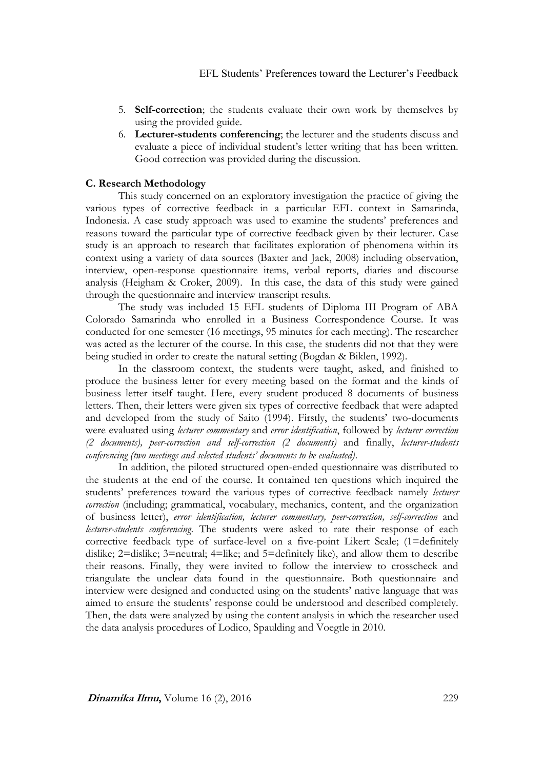- 5. **Self-correction**; the students evaluate their own work by themselves by using the provided guide.
- 6. **Lecturer-students conferencing**; the lecturer and the students discuss and evaluate a piece of individual student's letter writing that has been written. Good correction was provided during the discussion.

### **C. Research Methodology**

This study concerned on an exploratory investigation the practice of giving the various types of corrective feedback in a particular EFL context in Samarinda, Indonesia. A case study approach was used to examine the students' preferences and reasons toward the particular type of corrective feedback given by their lecturer. Case study is an approach to research that facilitates exploration of phenomena within its context using a variety of data sources (Baxter and Jack, 2008) including observation, interview, open-response questionnaire items, verbal reports, diaries and discourse analysis (Heigham & Croker, 2009). In this case, the data of this study were gained through the questionnaire and interview transcript results.

The study was included 15 EFL students of Diploma III Program of ABA Colorado Samarinda who enrolled in a Business Correspondence Course. It was conducted for one semester (16 meetings, 95 minutes for each meeting). The researcher was acted as the lecturer of the course. In this case, the students did not that they were being studied in order to create the natural setting (Bogdan & Biklen, 1992).

In the classroom context, the students were taught, asked, and finished to produce the business letter for every meeting based on the format and the kinds of business letter itself taught. Here, every student produced 8 documents of business letters. Then, their letters were given six types of corrective feedback that were adapted and developed from the study of Saito (1994). Firstly, the students' two-documents were evaluated using *lecturer commentary* and *error identification*, followed by *lecturer correction (2 documents), peer-correction and self-correction (2 documents)* and finally, *lecturer-students conferencing (two meetings and selected students' documents to be evaluated)*.

In addition, the piloted structured open-ended questionnaire was distributed to the students at the end of the course. It contained ten questions which inquired the students' preferences toward the various types of corrective feedback namely *lecturer correction* (including; grammatical, vocabulary, mechanics, content, and the organization of business letter), *error identification, lecturer commentary, peer-correction, self-correction* and *lecturer-students conferencing*. The students were asked to rate their response of each corrective feedback type of surface-level on a five-point Likert Scale; (1=definitely dislike; 2=dislike; 3=neutral; 4=like; and 5=definitely like), and allow them to describe their reasons. Finally, they were invited to follow the interview to crosscheck and triangulate the unclear data found in the questionnaire. Both questionnaire and interview were designed and conducted using on the students' native language that was aimed to ensure the students' response could be understood and described completely. Then, the data were analyzed by using the content analysis in which the researcher used the data analysis procedures of Lodico, Spaulding and Voegtle in 2010.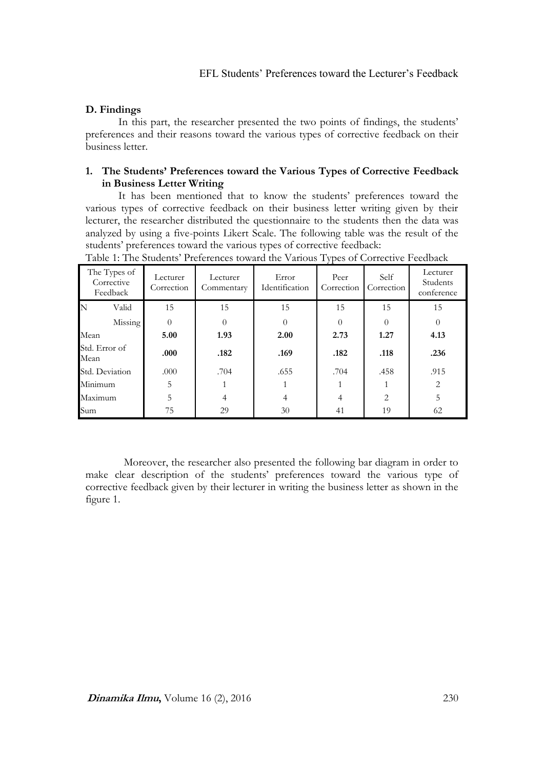# **D. Findings**

In this part, the researcher presented the two points of findings, the students' preferences and their reasons toward the various types of corrective feedback on their business letter.

# **1. The Students' Preferences toward the Various Types of Corrective Feedback in Business Letter Writing**

It has been mentioned that to know the students' preferences toward the various types of corrective feedback on their business letter writing given by their lecturer, the researcher distributed the questionnaire to the students then the data was analyzed by using a five-points Likert Scale. The following table was the result of the students' preferences toward the various types of corrective feedback:

| The Types of<br>Corrective<br>Feedback | Lecturer<br>Correction | Lecturer<br>Commentary | Error<br>Identification | Peer<br>Correction | Self<br>Correction | Lecturer<br>Students<br>conference |
|----------------------------------------|------------------------|------------------------|-------------------------|--------------------|--------------------|------------------------------------|
| N<br>Valid                             | 15                     | 15                     | 15                      | 15                 | 15                 | 15                                 |
| Missing                                | $\Omega$               | $\theta$               | $\Omega$                | 0                  | $\Omega$           | $\theta$                           |
| Mean                                   | 5.00                   | 1.93                   | 2.00                    | 2.73               | 1.27               | 4.13                               |
| Std. Error of<br>Mean                  | .000                   | .182                   | .169                    | .182               | .118               | .236                               |
| Std. Deviation                         | .000                   | .704                   | .655                    | .704               | .458               | .915                               |
| Minimum                                | 5                      |                        |                         |                    |                    | $\overline{2}$                     |
| Maximum                                | 5                      | 4                      | 4                       | 4                  | 2                  | 5                                  |
| Sum                                    | 75                     | 29                     | 30                      | 41                 | 19                 | 62                                 |

Table 1: The Students' Preferences toward the Various Types of Corrective Feedback

 Moreover, the researcher also presented the following bar diagram in order to make clear description of the students' preferences toward the various type of corrective feedback given by their lecturer in writing the business letter as shown in the figure 1.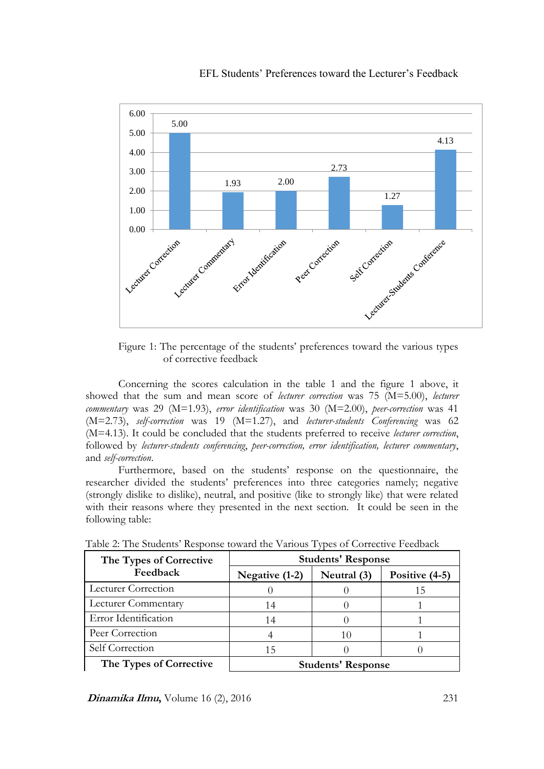

Figure 1: The percentage of the students' preferences toward the various types of corrective feedback

Concerning the scores calculation in the table 1 and the figure 1 above, it showed that the sum and mean score of *lecturer correction* was 75 (M=5.00), *lecturer commentary* was 29 (M=1.93), *error identification* was 30 (M=2.00), *peer-correction* was 41 (M=2.73), *self-correction* was 19 (M=1.27), and *lecturer-students Conferencing* was 62 (M=4.13). It could be concluded that the students preferred to receive *lecturer correction*, followed by *lecturer-students conferencing*, *peer-correction, error identification, lecturer commentary*, and *self-correction*.

Furthermore, based on the students' response on the questionnaire, the researcher divided the students' preferences into three categories namely; negative (strongly dislike to dislike), neutral, and positive (like to strongly like) that were related with their reasons where they presented in the next section. It could be seen in the following table:

| The Types of Corrective    | <b>Students' Response</b> |             |                  |  |  |
|----------------------------|---------------------------|-------------|------------------|--|--|
| Feedback                   | Negative (1-2)            | Neutral (3) | Positive $(4-5)$ |  |  |
| <b>Lecturer Correction</b> |                           |             |                  |  |  |
| <b>Lecturer Commentary</b> | 14                        |             |                  |  |  |
| Error Identification       | 14                        |             |                  |  |  |
| Peer Correction            |                           | 10          |                  |  |  |
| Self Correction            | 15                        |             |                  |  |  |
| The Types of Corrective    | <b>Students' Response</b> |             |                  |  |  |

Table 2: The Students' Response toward the Various Types of Corrective Feedback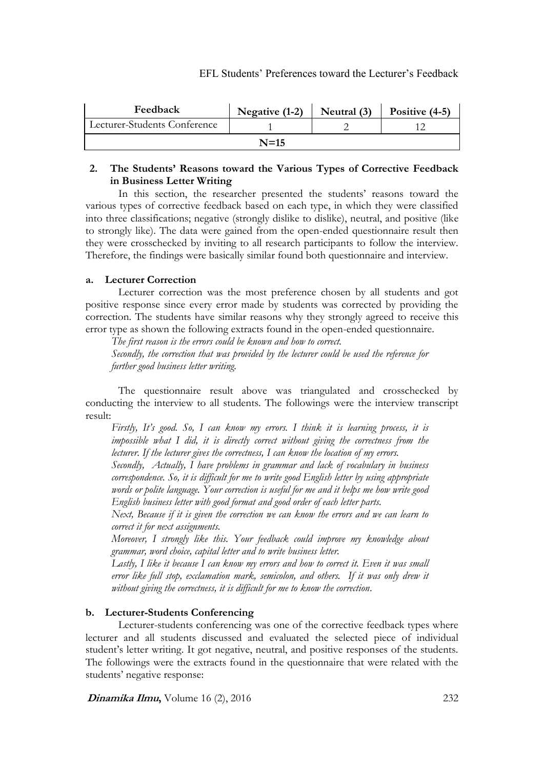| Feedback                     | Negative $(1-2)$ | Neutral (3) | Positive $(4-5)$ |  |  |  |  |
|------------------------------|------------------|-------------|------------------|--|--|--|--|
| Lecturer-Students Conference |                  |             |                  |  |  |  |  |
| $N=15$                       |                  |             |                  |  |  |  |  |

# **2. The Students' Reasons toward the Various Types of Corrective Feedback in Business Letter Writing**

In this section, the researcher presented the students' reasons toward the various types of corrective feedback based on each type, in which they were classified into three classifications; negative (strongly dislike to dislike), neutral, and positive (like to strongly like). The data were gained from the open-ended questionnaire result then they were crosschecked by inviting to all research participants to follow the interview. Therefore, the findings were basically similar found both questionnaire and interview.

# **a. Lecturer Correction**

Lecturer correction was the most preference chosen by all students and got positive response since every error made by students was corrected by providing the correction. The students have similar reasons why they strongly agreed to receive this error type as shown the following extracts found in the open-ended questionnaire.

*The first reason is the errors could be known and how to correct.*

*Secondly, the correction that was provided by the lecturer could be used the reference for further good business letter writing.* 

The questionnaire result above was triangulated and crosschecked by conducting the interview to all students. The followings were the interview transcript result:

*Firstly, It's good. So, I can know my errors. I think it is learning process, it is impossible what I did, it is directly correct without giving the correctness from the lecturer. If the lecturer gives the correctness, I can know the location of my errors.*

*Secondly, Actually, I have problems in grammar and lack of vocabulary in business correspondence. So, it is difficult for me to write good English letter by using appropriate words or polite language. Your correction is useful for me and it helps me how write good English business letter with good format and good order of each letter parts.* 

*Next, Because if it is given the correction we can know the errors and we can learn to correct it for next assignments.*

*Moreover, I strongly like this. Your feedback could improve my knowledge about grammar, word choice, capital letter and to write business letter.* 

*Lastly, I like it because I can know my errors and how to correct it. Even it was small error like full stop, exclamation mark, semicolon, and others. If it was only drew it without giving the correctness, it is difficult for me to know the correction*.

# **b. Lecturer-Students Conferencing**

Lecturer-students conferencing was one of the corrective feedback types where lecturer and all students discussed and evaluated the selected piece of individual student's letter writing. It got negative, neutral, and positive responses of the students. The followings were the extracts found in the questionnaire that were related with the students' negative response: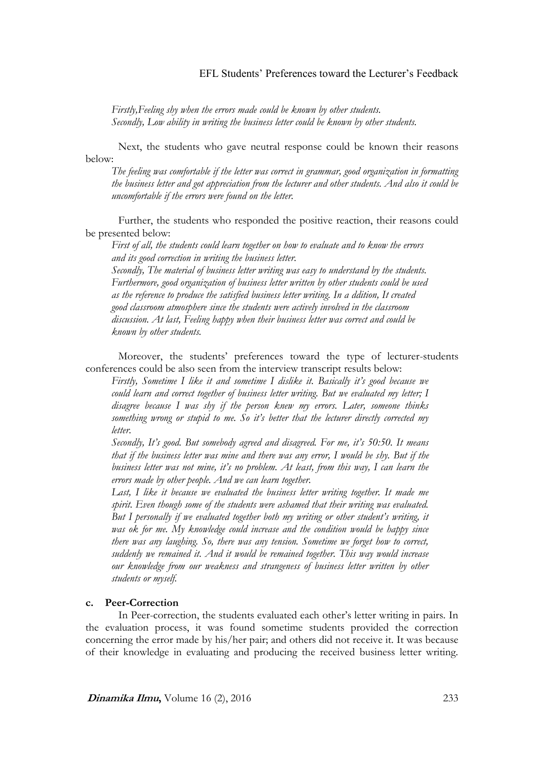*Firstly,Feeling shy when the errors made could be known by other students. Secondly, Low ability in writing the business letter could be known by other students.* 

Next, the students who gave neutral response could be known their reasons below:

*The feeling was comfortable if the letter was correct in grammar, good organization in formatting the business letter and got appreciation from the lecturer and other students. And also it could be uncomfortable if the errors were found on the letter.* 

Further, the students who responded the positive reaction, their reasons could be presented below:

*First of all, the students could learn together on how to evaluate and to know the errors and its good correction in writing the business letter.* 

*Secondly, The material of business letter writing was easy to understand by the students. Furthermore, good organization of business letter written by other students could be used as the reference to produce the satisfied business letter writing. In a ddition, It created good classroom atmosphere since the students were actively involved in the classroom discussion. At last, Feeling happy when their business letter was correct and could be known by other students.* 

Moreover, the students' preferences toward the type of lecturer-students conferences could be also seen from the interview transcript results below:

*Firstly, Sometime I like it and sometime I dislike it. Basically it's good because we could learn and correct together of business letter writing. But we evaluated my letter; I disagree because I was shy if the person knew my errors. Later, someone thinks something wrong or stupid to me. So it's better that the lecturer directly corrected my letter.* 

*Secondly, It's good. But somebody agreed and disagreed. For me, it's 50:50. It means that if the business letter was mine and there was any error, I would be shy. But if the business letter was not mine, it's no problem. At least, from this way, I can learn the errors made by other people. And we can learn together.*

Last, I like it because we evaluated the business letter writing together. It made me *spirit. Even though some of the students were ashamed that their writing was evaluated. But I personally if we evaluated together both my writing or other student's writing, it*  was ok for me. My knowledge could increase and the condition would be happy since *there was any laughing. So, there was any tension. Sometime we forget how to correct, suddenly we remained it. And it would be remained together. This way would increase our knowledge from our weakness and strangeness of business letter written by other students or myself.* 

### **c. Peer-Correction**

In Peer-correction, the students evaluated each other's letter writing in pairs. In the evaluation process, it was found sometime students provided the correction concerning the error made by his/her pair; and others did not receive it. It was because of their knowledge in evaluating and producing the received business letter writing.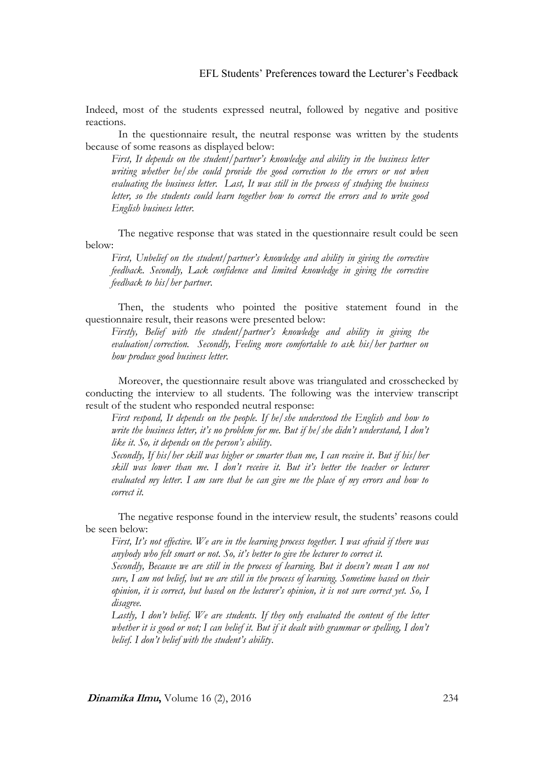Indeed, most of the students expressed neutral, followed by negative and positive reactions.

In the questionnaire result, the neutral response was written by the students because of some reasons as displayed below:

*First, It depends on the student/partner's knowledge and ability in the business letter writing whether he/she could provide the good correction to the errors or not when evaluating the business letter. Last, It was still in the process of studying the business letter, so the students could learn together how to correct the errors and to write good English business letter.* 

The negative response that was stated in the questionnaire result could be seen below:

*First, Unbelief on the student/partner's knowledge and ability in giving the corrective feedback. Secondly, Lack confidence and limited knowledge in giving the corrective feedback to his/her partner*.

Then, the students who pointed the positive statement found in the questionnaire result, their reasons were presented below:

*Firstly, Belief with the student/partner's knowledge and ability in giving the evaluation/correction. Secondly, Feeling more comfortable to ask his/her partner on how produce good business letter.* 

Moreover, the questionnaire result above was triangulated and crosschecked by conducting the interview to all students. The following was the interview transcript result of the student who responded neutral response:

*First respond, It depends on the people. If he/she understood the English and how to write the business letter, it's no problem for me. But if he/she didn't understand, I don't like it. So, it depends on the person's ability*.

*Secondly, If his/her skill was higher or smarter than me, I can receive it*. *But if his/her skill was lower than me. I don't receive it. But it's better the teacher or lecturer evaluated my letter. I am sure that he can give me the place of my errors and how to correct it.* 

The negative response found in the interview result, the students' reasons could be seen below:

*First, It's not effective. We are in the learning process together. I was afraid if there was anybody who felt smart or not. So, it's better to give the lecturer to correct it.* 

*Secondly, Because we are still in the process of learning. But it doesn't mean I am not sure, I am not belief, but we are still in the process of learning. Sometime based on their opinion, it is correct, but based on the lecturer's opinion, it is not sure correct yet. So, I disagree.*

*Lastly, I don't belief. We are students. If they only evaluated the content of the letter whether it is good or not; I can belief it. But if it dealt with grammar or spelling, I don't belief. I don't belief with the student's ability*.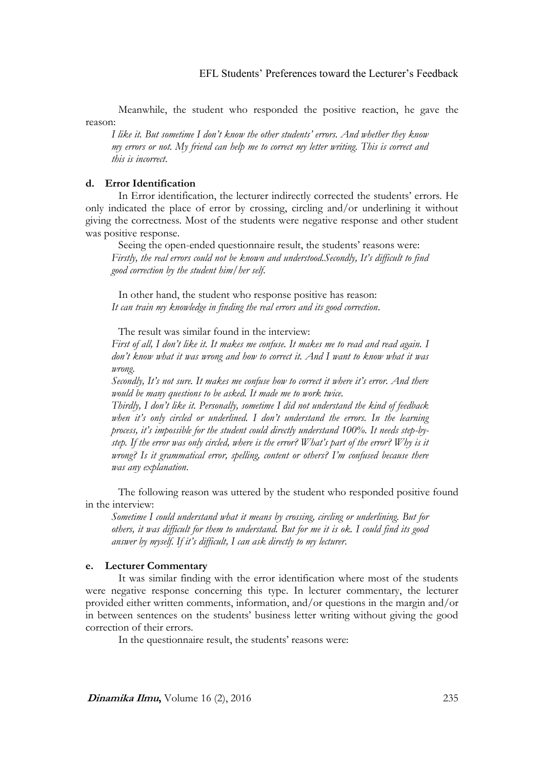Meanwhile, the student who responded the positive reaction, he gave the reason:

*I like it. But sometime I don't know the other students' errors. And whether they know my errors or not. My friend can help me to correct my letter writing. This is correct and this is incorrect*.

### **d. Error Identification**

In Error identification, the lecturer indirectly corrected the students' errors. He only indicated the place of error by crossing, circling and/or underlining it without giving the correctness. Most of the students were negative response and other student was positive response.

Seeing the open-ended questionnaire result, the students' reasons were: *Firstly, the real errors could not be known and understood.Secondly, It's difficult to find good correction by the student him/her self*.

In other hand, the student who response positive has reason: *It can train my knowledge in finding the real errors and its good correction*.

The result was similar found in the interview:

*First of all, I don't like it. It makes me confuse. It makes me to read and read again. I don't know what it was wrong and how to correct it. And I want to know what it was wrong.*

*Secondly, It's not sure. It makes me confuse how to correct it where it's error. And there would be many questions to be asked. It made me to work twice.*

*Thirdly, I don't like it. Personally, sometime I did not understand the kind of feedback when it's only circled or underlined. I don't understand the errors. In the learning process, it's impossible for the student could directly understand 100%. It needs step-bystep. If the error was only circled, where is the error? What's part of the error? Why is it wrong? Is it grammatical error, spelling, content or others? I'm confused because there was any explanation*.

The following reason was uttered by the student who responded positive found in the interview:

*Sometime I could understand what it means by crossing, circling or underlining. But for others, it was difficult for them to understand. But for me it is ok. I could find its good answer by myself. If it's difficult, I can ask directly to my lecturer*.

### **e. Lecturer Commentary**

It was similar finding with the error identification where most of the students were negative response concerning this type. In lecturer commentary, the lecturer provided either written comments, information, and/or questions in the margin and/or in between sentences on the students' business letter writing without giving the good correction of their errors.

In the questionnaire result, the students' reasons were: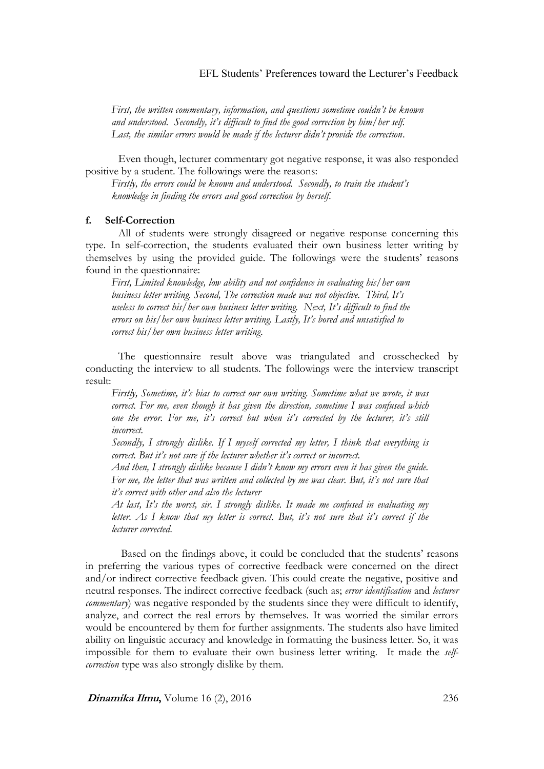*First, the written commentary, information, and questions sometime couldn't be known and understood. Secondly, it's difficult to find the good correction by him/her self. Last, the similar errors would be made if the lecturer didn't provide the correction*.

Even though, lecturer commentary got negative response, it was also responded positive by a student. The followings were the reasons:

*Firstly, the errors could be known and understood. Secondly, to train the student's knowledge in finding the errors and good correction by herself*.

### **f. Self-Correction**

All of students were strongly disagreed or negative response concerning this type. In self-correction, the students evaluated their own business letter writing by themselves by using the provided guide. The followings were the students' reasons found in the questionnaire:

*First, Limited knowledge, low ability and not confidence in evaluating his/her own business letter writing. Second, The correction made was not objective. Third, It's useless to correct his/her own business letter writing. Next, It's difficult to find the errors on his/her own business letter writing. Lastly, It's bored and unsatisfied to correct his/her own business letter writing*.

The questionnaire result above was triangulated and crosschecked by conducting the interview to all students. The followings were the interview transcript result:

*Firstly, Sometime, it's bias to correct our own writing. Sometime what we wrote, it was correct. For me, even though it has given the direction, sometime I was confused which one the error. For me, it's correct but when it's corrected by the lecturer, it's still incorrect.*

*Secondly, I strongly dislike. If I myself corrected my letter, I think that everything is correct. But it's not sure if the lecturer whether it's correct or incorrect.*

*And then, I strongly dislike because I didn't know my errors even it has given the guide. For me, the letter that was written and collected by me was clear. But, it's not sure that it's correct with other and also the lecturer* 

*At last, It's the worst, sir. I strongly dislike. It made me confused in evaluating my letter. As I know that my letter is correct. But, it's not sure that it's correct if the lecturer corrected*.

Based on the findings above, it could be concluded that the students' reasons in preferring the various types of corrective feedback were concerned on the direct and/or indirect corrective feedback given. This could create the negative, positive and neutral responses. The indirect corrective feedback (such as; *error identification* and *lecturer commentary*) was negative responded by the students since they were difficult to identify, analyze, and correct the real errors by themselves. It was worried the similar errors would be encountered by them for further assignments. The students also have limited ability on linguistic accuracy and knowledge in formatting the business letter. So, it was impossible for them to evaluate their own business letter writing. It made the *selfcorrection* type was also strongly dislike by them.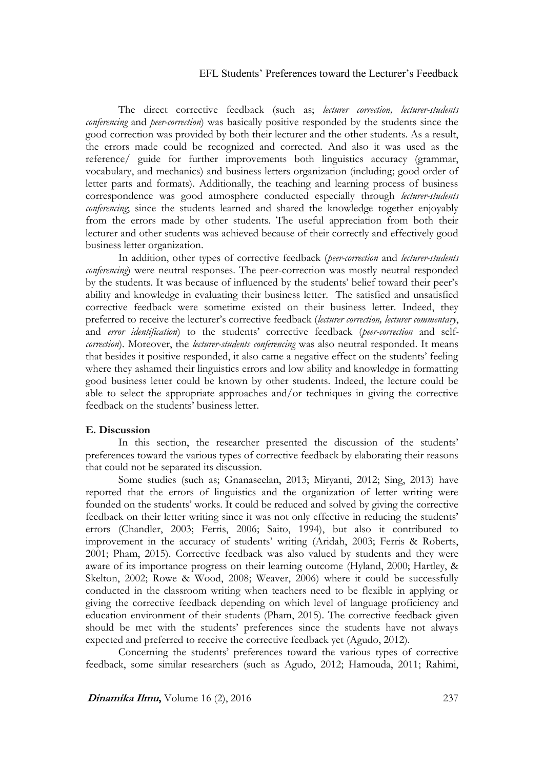The direct corrective feedback (such as; *lecturer correction, lecturer-students conferencing* and *peer-correction*) was basically positive responded by the students since the good correction was provided by both their lecturer and the other students. As a result, the errors made could be recognized and corrected. And also it was used as the reference/ guide for further improvements both linguistics accuracy (grammar, vocabulary, and mechanics) and business letters organization (including; good order of letter parts and formats). Additionally, the teaching and learning process of business correspondence was good atmosphere conducted especially through *lecturer-students conferencing*; since the students learned and shared the knowledge together enjoyably from the errors made by other students. The useful appreciation from both their lecturer and other students was achieved because of their correctly and effectively good business letter organization.

In addition, other types of corrective feedback (*peer-correction* and *lecturer-students conferencing*) were neutral responses. The peer-correction was mostly neutral responded by the students. It was because of influenced by the students' belief toward their peer's ability and knowledge in evaluating their business letter. The satisfied and unsatisfied corrective feedback were sometime existed on their business letter. Indeed, they preferred to receive the lecturer's corrective feedback (*lecturer correction, lecturer commentary*, and *error identification*) to the students' corrective feedback (*peer-correction* and self*correction*). Moreover, the *lecturer-students conferencing* was also neutral responded. It means that besides it positive responded, it also came a negative effect on the students' feeling where they ashamed their linguistics errors and low ability and knowledge in formatting good business letter could be known by other students. Indeed, the lecture could be able to select the appropriate approaches and/or techniques in giving the corrective feedback on the students' business letter.

### **E. Discussion**

In this section, the researcher presented the discussion of the students' preferences toward the various types of corrective feedback by elaborating their reasons that could not be separated its discussion.

Some studies (such as; Gnanaseelan, 2013; Miryanti, 2012; Sing, 2013) have reported that the errors of linguistics and the organization of letter writing were founded on the students' works. It could be reduced and solved by giving the corrective feedback on their letter writing since it was not only effective in reducing the students' errors (Chandler, 2003; Ferris, 2006; Saito, 1994), but also it contributed to improvement in the accuracy of students' writing (Aridah, 2003; Ferris & Roberts, 2001; Pham, 2015). Corrective feedback was also valued by students and they were aware of its importance progress on their learning outcome (Hyland, 2000; Hartley, & Skelton, 2002; Rowe & Wood, 2008; Weaver, 2006) where it could be successfully conducted in the classroom writing when teachers need to be flexible in applying or giving the corrective feedback depending on which level of language proficiency and education environment of their students (Pham, 2015). The corrective feedback given should be met with the students' preferences since the students have not always expected and preferred to receive the corrective feedback yet (Agudo, 2012).

Concerning the students' preferences toward the various types of corrective feedback, some similar researchers (such as Agudo, 2012; Hamouda, 2011; Rahimi,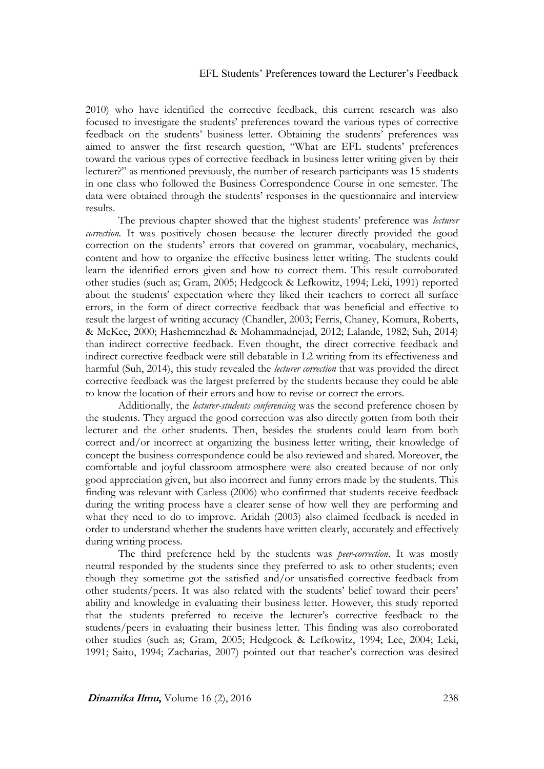2010) who have identified the corrective feedback, this current research was also focused to investigate the students' preferences toward the various types of corrective feedback on the students' business letter. Obtaining the students' preferences was aimed to answer the first research question, "What are EFL students' preferences toward the various types of corrective feedback in business letter writing given by their lecturer?" as mentioned previously, the number of research participants was 15 students in one class who followed the Business Correspondence Course in one semester. The data were obtained through the students' responses in the questionnaire and interview results.

The previous chapter showed that the highest students' preference was *lecturer correction*. It was positively chosen because the lecturer directly provided the good correction on the students' errors that covered on grammar, vocabulary, mechanics, content and how to organize the effective business letter writing. The students could learn the identified errors given and how to correct them. This result corroborated other studies (such as; Gram, 2005; Hedgcock & Lefkowitz, 1994; Leki, 1991) reported about the students' expectation where they liked their teachers to correct all surface errors, in the form of direct corrective feedback that was beneficial and effective to result the largest of writing accuracy (Chandler, 2003; Ferris, Chaney, Komura, Roberts, & McKee, 2000; Hashemnezhad & Mohammadnejad, 2012; Lalande, 1982; Suh, 2014) than indirect corrective feedback. Even thought, the direct corrective feedback and indirect corrective feedback were still debatable in L2 writing from its effectiveness and harmful (Suh, 2014), this study revealed the *lecturer correction* that was provided the direct corrective feedback was the largest preferred by the students because they could be able to know the location of their errors and how to revise or correct the errors.

Additionally, the *lecturer-students conferencing* was the second preference chosen by the students. They argued the good correction was also directly gotten from both their lecturer and the other students. Then, besides the students could learn from both correct and/or incorrect at organizing the business letter writing, their knowledge of concept the business correspondence could be also reviewed and shared. Moreover, the comfortable and joyful classroom atmosphere were also created because of not only good appreciation given, but also incorrect and funny errors made by the students. This finding was relevant with Carless (2006) who confirmed that students receive feedback during the writing process have a clearer sense of how well they are performing and what they need to do to improve. Aridah (2003) also claimed feedback is needed in order to understand whether the students have written clearly, accurately and effectively during writing process.

The third preference held by the students was *peer-correction*. It was mostly neutral responded by the students since they preferred to ask to other students; even though they sometime got the satisfied and/or unsatisfied corrective feedback from other students/peers. It was also related with the students' belief toward their peers' ability and knowledge in evaluating their business letter. However, this study reported that the students preferred to receive the lecturer's corrective feedback to the students/peers in evaluating their business letter. This finding was also corroborated other studies (such as; Gram, 2005; Hedgcock & Lefkowitz, 1994; Lee, 2004; Leki, 1991; Saito, 1994; Zacharias, 2007) pointed out that teacher's correction was desired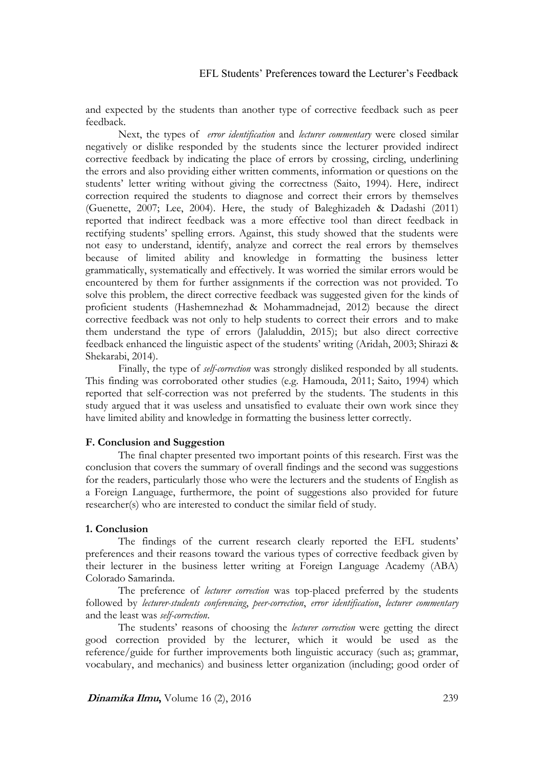and expected by the students than another type of corrective feedback such as peer feedback.

Next, the types of *error identification* and *lecturer commentary* were closed similar negatively or dislike responded by the students since the lecturer provided indirect corrective feedback by indicating the place of errors by crossing, circling, underlining the errors and also providing either written comments, information or questions on the students' letter writing without giving the correctness (Saito, 1994). Here, indirect correction required the students to diagnose and correct their errors by themselves (Guenette, 2007; Lee, 2004). Here, the study of Baleghizadeh & Dadashi (2011) reported that indirect feedback was a more effective tool than direct feedback in rectifying students' spelling errors. Against, this study showed that the students were not easy to understand, identify, analyze and correct the real errors by themselves because of limited ability and knowledge in formatting the business letter grammatically, systematically and effectively. It was worried the similar errors would be encountered by them for further assignments if the correction was not provided. To solve this problem, the direct corrective feedback was suggested given for the kinds of proficient students (Hashemnezhad & Mohammadnejad, 2012) because the direct corrective feedback was not only to help students to correct their errors and to make them understand the type of errors (Jalaluddin, 2015); but also direct corrective feedback enhanced the linguistic aspect of the students' writing (Aridah, 2003; Shirazi & Shekarabi, 2014).

Finally, the type of *self-correction* was strongly disliked responded by all students. This finding was corroborated other studies (e.g. Hamouda, 2011; Saito, 1994) which reported that self-correction was not preferred by the students. The students in this study argued that it was useless and unsatisfied to evaluate their own work since they have limited ability and knowledge in formatting the business letter correctly.

### **F. Conclusion and Suggestion**

The final chapter presented two important points of this research. First was the conclusion that covers the summary of overall findings and the second was suggestions for the readers, particularly those who were the lecturers and the students of English as a Foreign Language, furthermore, the point of suggestions also provided for future researcher(s) who are interested to conduct the similar field of study.

### **1. Conclusion**

The findings of the current research clearly reported the EFL students' preferences and their reasons toward the various types of corrective feedback given by their lecturer in the business letter writing at Foreign Language Academy (ABA) Colorado Samarinda.

The preference of *lecturer correction* was top-placed preferred by the students followed by *lecturer-students conferencing*, *peer-correction*, *error identification*, *lecturer commentary* and the least was *self-correction*.

The students' reasons of choosing the *lecturer correction* were getting the direct good correction provided by the lecturer, which it would be used as the reference/guide for further improvements both linguistic accuracy (such as; grammar, vocabulary, and mechanics) and business letter organization (including; good order of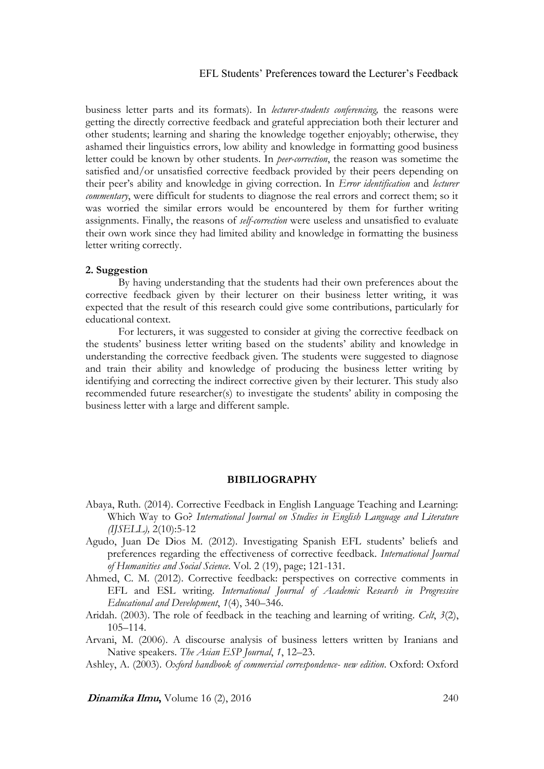business letter parts and its formats). In *lecturer-students conferencing,* the reasons were getting the directly corrective feedback and grateful appreciation both their lecturer and other students; learning and sharing the knowledge together enjoyably; otherwise, they ashamed their linguistics errors, low ability and knowledge in formatting good business letter could be known by other students. In *peer-correction*, the reason was sometime the satisfied and/or unsatisfied corrective feedback provided by their peers depending on their peer's ability and knowledge in giving correction. In *Error identification* and *lecturer commentary*, were difficult for students to diagnose the real errors and correct them; so it was worried the similar errors would be encountered by them for further writing assignments. Finally, the reasons of *self-correction* were useless and unsatisfied to evaluate their own work since they had limited ability and knowledge in formatting the business letter writing correctly.

### **2. Suggestion**

By having understanding that the students had their own preferences about the corrective feedback given by their lecturer on their business letter writing, it was expected that the result of this research could give some contributions, particularly for educational context.

For lecturers, it was suggested to consider at giving the corrective feedback on the students' business letter writing based on the students' ability and knowledge in understanding the corrective feedback given. The students were suggested to diagnose and train their ability and knowledge of producing the business letter writing by identifying and correcting the indirect corrective given by their lecturer. This study also recommended future researcher(s) to investigate the students' ability in composing the business letter with a large and different sample.

#### **BIBILIOGRAPHY**

- Abaya, Ruth. (2014). Corrective Feedback in English Language Teaching and Learning: Which Way to Go? *International Journal on Studies in English Language and Literature (IJSELL),* 2(10):5-12
- Agudo, Juan De Dios M. (2012). Investigating Spanish EFL students' beliefs and preferences regarding the effectiveness of corrective feedback. *International Journal of Humanities and Social Science*. Vol. 2 (19), page; 121-131.

Ahmed, C. M. (2012). Corrective feedback: perspectives on corrective comments in EFL and ESL writing. *International Journal of Academic Research in Progressive Educational and Development*, *1*(4), 340–346.

- Aridah. (2003). The role of feedback in the teaching and learning of writing. *Celt*, *3*(2), 105–114.
- Arvani, M. (2006). A discourse analysis of business letters written by Iranians and Native speakers. *The Asian ESP Journal*, *1*, 12–23.

Ashley, A. (2003). *Oxford handbook of commercial correspondence- new edition*. Oxford: Oxford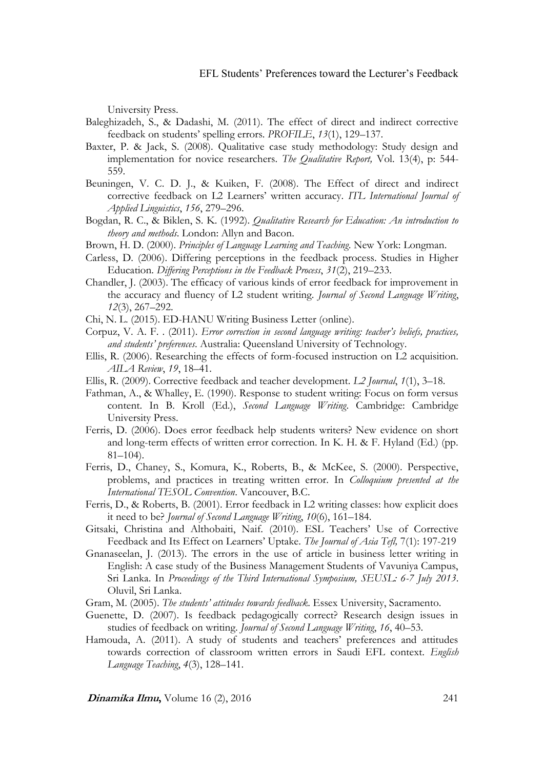University Press.

- Baleghizadeh, S., & Dadashi, M. (2011). The effect of direct and indirect corrective feedback on students' spelling errors. *PROFILE*, *13*(1), 129–137.
- Baxter, P. & Jack, S. (2008). Qualitative case study methodology: Study design and implementation for novice researchers. *The Qualitative Report,* Vol. 13(4), p: 544- 559.
- Beuningen, V. C. D. J., & Kuiken, F. (2008). The Effect of direct and indirect corrective feedback on L2 Learners' written accuracy. *ITL International Journal of Applied Linguistics*, *156*, 279–296.
- Bogdan, R. C., & Biklen, S. K. (1992). *Qualitative Research for Education: An introduction to theory and methods*. London: Allyn and Bacon.
- Brown, H. D. (2000). *Principles of Language Learning and Teaching*. New York: Longman.
- Carless, D. (2006). Differing perceptions in the feedback process. Studies in Higher Education. *Differing Perceptions in the Feedback Process*, *31*(2), 219–233.
- Chandler, J. (2003). The efficacy of various kinds of error feedback for improvement in the accuracy and fluency of L2 student writing. *Journal of Second Language Writing*, *12*(3), 267–292.
- Chi, N. L. (2015). ED-HANU Writing Business Letter (online).
- Corpuz, V. A. F. . (2011). *Error correction in second language writing: teacher's beliefs, practices, and students' preferences*. Australia: Queensland University of Technology.
- Ellis, R. (2006). Researching the effects of form-focused instruction on L2 acquisition. *AILA Review*, *19*, 18–41.
- Ellis, R. (2009). Corrective feedback and teacher development. *L2 Journal*, *1*(1), 3–18.
- Fathman, A., & Whalley, E. (1990). Response to student writing: Focus on form versus content. In B. Kroll (Ed.), *Second Language Writing*. Cambridge: Cambridge University Press.
- Ferris, D. (2006). Does error feedback help students writers? New evidence on short and long-term effects of written error correction. In K. H. & F. Hyland (Ed.) (pp. 81–104).
- Ferris, D., Chaney, S., Komura, K., Roberts, B., & McKee, S. (2000). Perspective, problems, and practices in treating written error. In *Colloquium presented at the International TESOL Convention*. Vancouver, B.C.
- Ferris, D., & Roberts, B. (2001). Error feedback in L2 writing classes: how explicit does it need to be? *Journal of Second Language Writing*, *10*(6), 161–184.
- Gitsaki, Christina and Althobaiti, Naif. (2010). ESL Teachers' Use of Corrective Feedback and Its Effect on Learners' Uptake. *The Journal of Asia Tefl,* 7(1): 197-219
- Gnanaseelan, J. (2013). The errors in the use of article in business letter writing in English: A case study of the Business Management Students of Vavuniya Campus, Sri Lanka. In *Proceedings of the Third International Symposium, SEUSL: 6-7 July 2013*. Oluvil, Sri Lanka.
- Gram, M. (2005). *The students' attitudes towards feedback*. Essex University, Sacramento.
- Guenette, D. (2007). Is feedback pedagogically correct? Research design issues in studies of feedback on writing. *Journal of Second Language Writing*, *16*, 40–53.
- Hamouda, A. (2011). A study of students and teachers' preferences and attitudes towards correction of classroom written errors in Saudi EFL context. *English Language Teaching*, *4*(3), 128–141.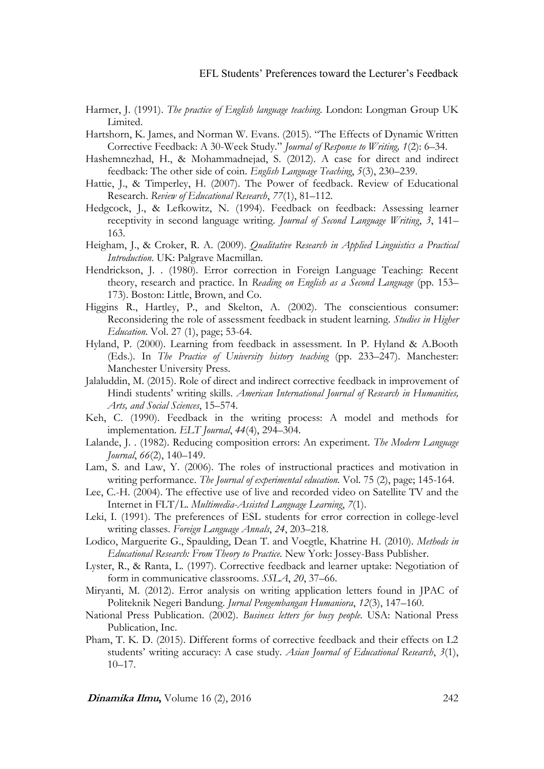- Harmer, J. (1991). *The practice of English language teaching*. London: Longman Group UK Limited.
- Hartshorn, K. James, and Norman W. Evans. (2015). "The Effects of Dynamic Written Corrective Feedback: A 30-Week Study." *Journal of Response to Writing, 1*(2): 6–34.
- Hashemnezhad, H., & Mohammadnejad, S. (2012). A case for direct and indirect feedback: The other side of coin. *English Language Teaching*, *5*(3), 230–239.
- Hattie, J., & Timperley, H. (2007). The Power of feedback. Review of Educational Research. *Review of Educational Research*, *77*(1), 81–112.
- Hedgcock, J., & Lefkowitz, N. (1994). Feedback on feedback: Assessing learner receptivity in second language writing. *Journal of Second Language Writing*, *3*, 141– 163.
- Heigham, J., & Croker, R. A. (2009). *Qualitative Research in Applied Linguistics a Practical Introduction*. UK: Palgrave Macmillan.
- Hendrickson, J. . (1980). Error correction in Foreign Language Teaching: Recent theory, research and practice. In *Reading on English as a Second Language* (pp. 153– 173). Boston: Little, Brown, and Co.
- Higgins R., Hartley, P., and Skelton, A. (2002). The conscientious consumer: Reconsidering the role of assessment feedback in student learning. *Studies in Higher Education*. Vol. 27 (1), page; 53-64.
- Hyland, P. (2000). Learning from feedback in assessment. In P. Hyland & A.Booth (Eds.). In *The Practice of University history teaching* (pp. 233–247). Manchester: Manchester University Press.
- Jalaluddin, M. (2015). Role of direct and indirect corrective feedback in improvement of Hindi students' writing skills. *American International Journal of Research in Humanities, Arts, and Social Sciences*, 15–574.
- Keh, C. (1990). Feedback in the writing process: A model and methods for implementation. *ELT Journal*, *44*(4), 294–304.
- Lalande, J. . (1982). Reducing composition errors: An experiment. *The Modern Language Journal*, *66*(2), 140–149.
- Lam, S. and Law, Y. (2006). The roles of instructional practices and motivation in writing performance. *The Journal of experimental education.* Vol. 75 (2), page; 145-164.
- Lee, C.-H. (2004). The effective use of live and recorded video on Satellite TV and the Internet in FLT/L. *Multimedia-Assisted Language Learning*, *7*(1).
- Leki, I. (1991). The preferences of ESL students for error correction in college-level writing classes. *Foreign Language Annals*, *24*, 203–218.
- Lodico, Marguerite G., Spaulding, Dean T. and Voegtle, Khatrine H. (2010). *Methods in Educational Research: From Theory to Practice.* New York: Jossey-Bass Publisher.
- Lyster, R., & Ranta, L. (1997). Corrective feedback and learner uptake: Negotiation of form in communicative classrooms. *SSLA*, *20*, 37–66.
- Miryanti, M. (2012). Error analysis on writing application letters found in JPAC of Politeknik Negeri Bandung. *Jurnal Pengembangan Humaniora*, *12*(3), 147–160.
- National Press Publication. (2002). *Business letters for busy people*. USA: National Press Publication, Inc.
- Pham, T. K. D. (2015). Different forms of corrective feedback and their effects on L2 students' writing accuracy: A case study. *Asian Journal of Educational Research*, *3*(1), 10–17.